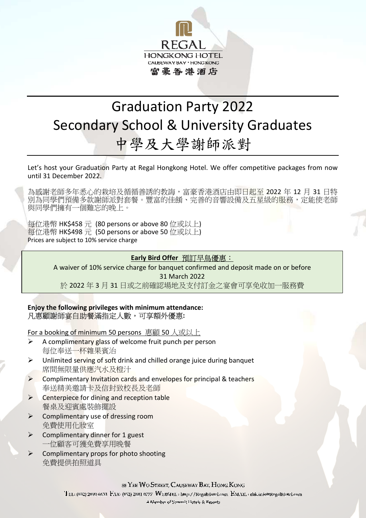

# Graduation Party 2022 Secondary School & University Graduates 中學及大學謝師派對

Let's host your Graduation Party at Regal Hongkong Hotel. We offer competitive packages from now until 31 December 2022.

為感謝老師多年悉心的栽培及循循善誘的教誨,富豪香港酒店由即日起至 2022 年 12 月 31 日特 別為同學們預備多款謝師派對套餐。豐富的佳餚、完善的音響設備及五星級的服務,定能使老師 與同學們擁有一個難忘的晚上。

每位港幣 HK\$458 元 (80 persons or above 80 位或以上) 每位港幣 HK\$498 元 (50 persons or above 50 位或以上) Prices are subject to 10% service charge

## **Early Bird Offer** 預訂早鳥優惠:

A waiver of 10% service charge for banquet confirmed and deposit made on or before 31 March 2022 於 2022 年 3 月 31 日或之前確認場地及支付訂金之宴會可享免收加一服務費

**Enjoy the following privileges with minimum attendance:**  凡惠顧謝師宴自助餐滿指定人數,可享額外優惠**:** 

For a booking of minimum 50 persons 惠顧 50 人或以上

- $\triangleright$  A complimentary glass of welcome fruit punch per person 每位奉送一杯雜果賓治
- $\triangleright$  Unlimited serving of soft drink and chilled orange juice during banquet 席間無限量供應汽水及橙汁
- $\triangleright$  Complimentary Invitation cards and envelopes for principal & teachers 奉送精美邀請卡及信封致校長及老師
- $\triangleright$  Centerpiece for dining and reception table 餐桌及迎賓處裝飾擺設
- Complimentary use of dressing room 免費使用化妝室
- $\triangleright$  Complimentary dinner for 1 guest 一位顧客可獲免費享用晚餐
- $\triangleright$  Complimentary props for photo shooting 免費提供拍照道具

88 YEE WO STREET, CAUSEWAY BAY, HONG KONG

TEL: (852) 2890 6633 FAX: (852) 2881 0777 WEBSITE: http://RegalHotel.com EMAIL: thk.info@RegalHotel.com

A Member of Summit Hotels & Resorts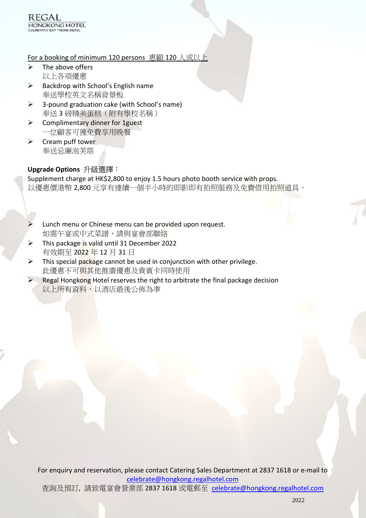### For a booking of minimum 120 persons 惠顧 120 人或以上

- $\triangleright$  The above offers 以上各項優惠
- $\triangleright$  Backdrop with School's English name 奉送學校英文名稱背景板
- $\geq$  3-pound graduation cake (with School's name) 奉送 3 磅精美蛋糕(附有學校名稱)
- $\triangleright$  Complimentary dinner for 1 guest 一位顧客可獲免費享用晚餐
- $\triangleright$  Cream puff tower 奉送忌廉泡芙塔

# **Upgrade Options** 升級選擇:

Supplement charge at HK\$2,800 to enjoy 1.5 hours photo booth service with props. 以優惠價港幣 2,800 元享有連續一個半小時的即影即有拍照服務及免費借用拍照道具。

- Lunch menu or Chinese menu can be provided upon request. 如需午宴或中式菜譜,請與宴會部聯絡
- $\triangleright$  This package is valid until 31 December 2022 有效期至 2022 年 12 月 31 日
- $\triangleright$  This special package cannot be used in conjunction with other privilege. 此優惠不可與其他推廣優惠及貴賓卡同時使用
- Regal Hongkong Hotel reserves the right to arbitrate the final package decision 以上所有資料,以酒店最後公佈為準

For enquiry and reservation, please contact Catering Sales Department at 2837 1618 or e-mail to celebrate@hongkong.regalhotel.com

查詢及預訂, 請致電宴會營業部 2837 1618 或電郵至 celebrate@hongkong.regalhotel.com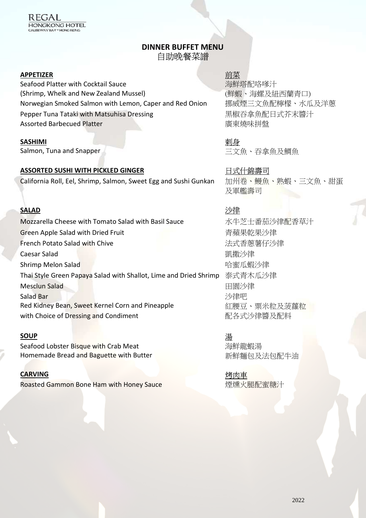# **DINNER BUFFET MENU** 自助晚餐菜譜

#### **APPETIZER** 前菜

Seafood Platter with Cocktail Sauce (Shrimp, Whelk and New Zealand Mussel) Norwegian Smoked Salmon with Lemon, Caper and Red Onion 挪威煙三文魚配檸檬、水瓜及洋蔥 Pepper Tuna Tataki with Matsuhisa Dressing <br>
■ 黒椒吞拿魚配日式芥末醬汁 Assorted Barbecued Platter わたります おおし おおし おおし ぼく うちのは ぼく うちのは ぼく うちのおおし はんしゃ はんしゃ はんしゃ ぼく しょうしょう しょうしゃ あいじょう しょくしゃ しょくしゃ しょうしゃ しょうしゃ しょうしゃ しょくしゃ あいしゃ あいしゃ しょうしゃ しょうしゃ しょうしゃ しょうしゃ しょうしゃ しょくしゃ しょうしゃ しょうしゃ しょうしゅう しょくしゅういく しょう

#### **SASHIMI**

Salmon, Tuna and Snapper

### ASSORTED SUSHI WITH PICKLED GINGER **National State of Table Times H**式什錦壽司

California Roll, Eel, Shrimp, Salmon, Sweet Egg and Sushi Gunkan 加州卷、鰻魚、熟蝦、三文魚、甜蛋

#### **SALAD** 沙律

Mozzarella Cheese with Tomato Salad with Basil Sauce 水牛芝士番茄沙律配香草汁 Green Apple Salad with Dried Fruit **http://web/accommunity.community.community.com** French Potato Salad with Chive https://www.french Potato Salad with Chive http://www.french.com/sensitivity/di **Caesar Salad インファイル しょうしょう しょうしょう しょうしょう しょうきょう しょうしょう しょうきょうきょう しょうきょうきょう しょうぶん しょうきょうきょう しょうきょう** Shrimp Melon Salad **Contract of the Contract of Australian Contract of Australian Contract Of Australian Contract Of Australian Contract Of Australian Contract Of Australian Contract Of Australian Contract Of Australian C** Thai Style Green Papaya Salad with Shallot, Lime and Dried Shrimp 泰式青木瓜沙律 Mesclun Salad 日間沙律 Salad Bar Red Kidney Bean, Sweet Kernel Corn and Pineapple with Choice of Dressing and Condiment Web Theorem and The 配各式沙律醬及配料

#### **SOUP**

Seafood Lobster Bisque with Crab Meat Homemade Bread and Baguette with Butter

#### **CARVING**

Roasted Gammon Bone Ham with Honey Sauce **Lack Constant Constant** 煙燻火腿配蜜糖汁

海鮮塔配咯嗲汁 (鮮蝦、海螺及紐西蘭青口)

剌身 三文魚、吞拿魚及鯛魚

及軍艦壽司

沙律吧 紅腰豆、粟米粒及菠蘿粒

湯 海鮮龍蝦湯 新鮮麵包及法包配牛油

烤肉車